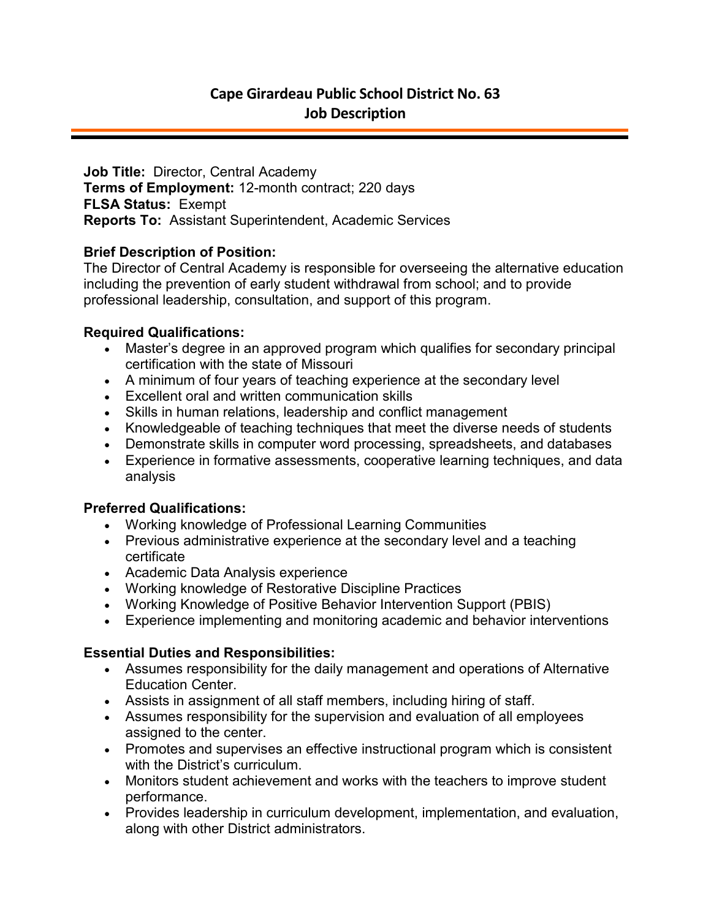**Job Title:** Director, Central Academy **Terms of Employment:** 12-month contract; 220 days **FLSA Status:** Exempt **Reports To:** Assistant Superintendent, Academic Services

# **Brief Description of Position:**

The Director of Central Academy is responsible for overseeing the alternative education including the prevention of early student withdrawal from school; and to provide professional leadership, consultation, and support of this program.

# **Required Qualifications:**

- Master's degree in an approved program which qualifies for secondary principal certification with the state of Missouri
- A minimum of four years of teaching experience at the secondary level
- Excellent oral and written communication skills
- Skills in human relations, leadership and conflict management
- Knowledgeable of teaching techniques that meet the diverse needs of students
- Demonstrate skills in computer word processing, spreadsheets, and databases
- Experience in formative assessments, cooperative learning techniques, and data analysis

## **Preferred Qualifications:**

- Working knowledge of Professional Learning Communities
- Previous administrative experience at the secondary level and a teaching certificate
- Academic Data Analysis experience
- Working knowledge of Restorative Discipline Practices
- Working Knowledge of Positive Behavior Intervention Support (PBIS)
- Experience implementing and monitoring academic and behavior interventions

## **Essential Duties and Responsibilities:**

- Assumes responsibility for the daily management and operations of Alternative Education Center.
- Assists in assignment of all staff members, including hiring of staff.
- Assumes responsibility for the supervision and evaluation of all employees assigned to the center.
- Promotes and supervises an effective instructional program which is consistent with the District's curriculum.
- Monitors student achievement and works with the teachers to improve student performance.
- Provides leadership in curriculum development, implementation, and evaluation, along with other District administrators.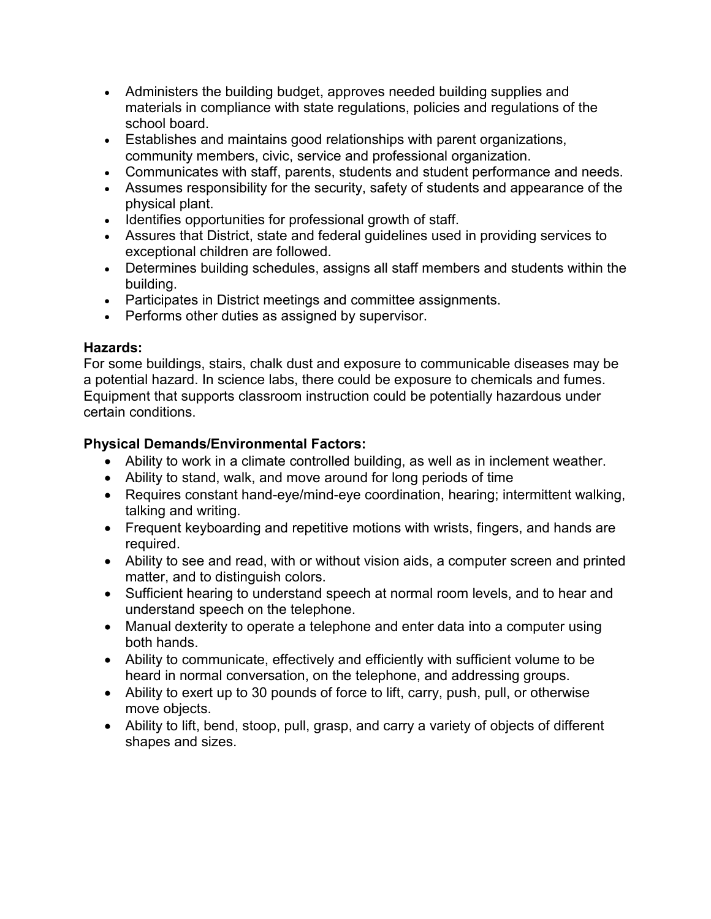- Administers the building budget, approves needed building supplies and materials in compliance with state regulations, policies and regulations of the school board.
- Establishes and maintains good relationships with parent organizations, community members, civic, service and professional organization.
- Communicates with staff, parents, students and student performance and needs.
- Assumes responsibility for the security, safety of students and appearance of the physical plant.
- Identifies opportunities for professional growth of staff.
- Assures that District, state and federal guidelines used in providing services to exceptional children are followed.
- Determines building schedules, assigns all staff members and students within the building.
- Participates in District meetings and committee assignments.
- Performs other duties as assigned by supervisor.

## **Hazards:**

For some buildings, stairs, chalk dust and exposure to communicable diseases may be a potential hazard. In science labs, there could be exposure to chemicals and fumes. Equipment that supports classroom instruction could be potentially hazardous under certain conditions.

# **Physical Demands/Environmental Factors:**

- Ability to work in a climate controlled building, as well as in inclement weather.
- Ability to stand, walk, and move around for long periods of time
- Requires constant hand-eye/mind-eye coordination, hearing; intermittent walking, talking and writing.
- Frequent keyboarding and repetitive motions with wrists, fingers, and hands are required.
- Ability to see and read, with or without vision aids, a computer screen and printed matter, and to distinguish colors.
- Sufficient hearing to understand speech at normal room levels, and to hear and understand speech on the telephone.
- Manual dexterity to operate a telephone and enter data into a computer using both hands.
- Ability to communicate, effectively and efficiently with sufficient volume to be heard in normal conversation, on the telephone, and addressing groups.
- Ability to exert up to 30 pounds of force to lift, carry, push, pull, or otherwise move objects.
- Ability to lift, bend, stoop, pull, grasp, and carry a variety of objects of different shapes and sizes.